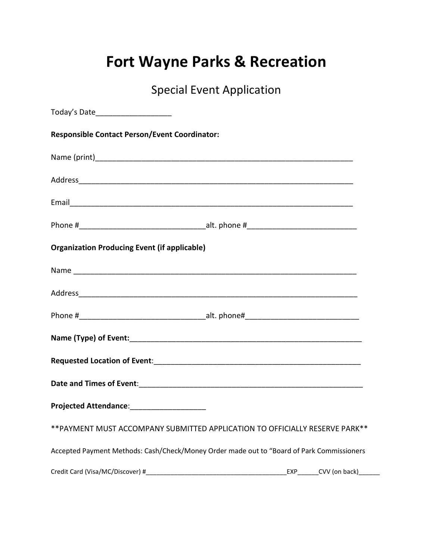## **Fort Wayne Parks & Recreation**

Special Event Application

| Today's Date_____________________                    |                                                                                           |                          |
|------------------------------------------------------|-------------------------------------------------------------------------------------------|--------------------------|
| <b>Responsible Contact Person/Event Coordinator:</b> |                                                                                           |                          |
|                                                      |                                                                                           |                          |
|                                                      |                                                                                           |                          |
|                                                      |                                                                                           |                          |
|                                                      |                                                                                           |                          |
| <b>Organization Producing Event (if applicable)</b>  |                                                                                           |                          |
|                                                      |                                                                                           |                          |
|                                                      |                                                                                           |                          |
|                                                      |                                                                                           |                          |
|                                                      |                                                                                           |                          |
|                                                      |                                                                                           |                          |
|                                                      |                                                                                           |                          |
| Projected Attendance: ____________________           |                                                                                           |                          |
|                                                      | ** PAYMENT MUST ACCOMPANY SUBMITTED APPLICATION TO OFFICIALLY RESERVE PARK**              |                          |
|                                                      | Accepted Payment Methods: Cash/Check/Money Order made out to "Board of Park Commissioners |                          |
| Credit Card (Visa/MC/Discover) #                     |                                                                                           | EXP________CVV (on back) |